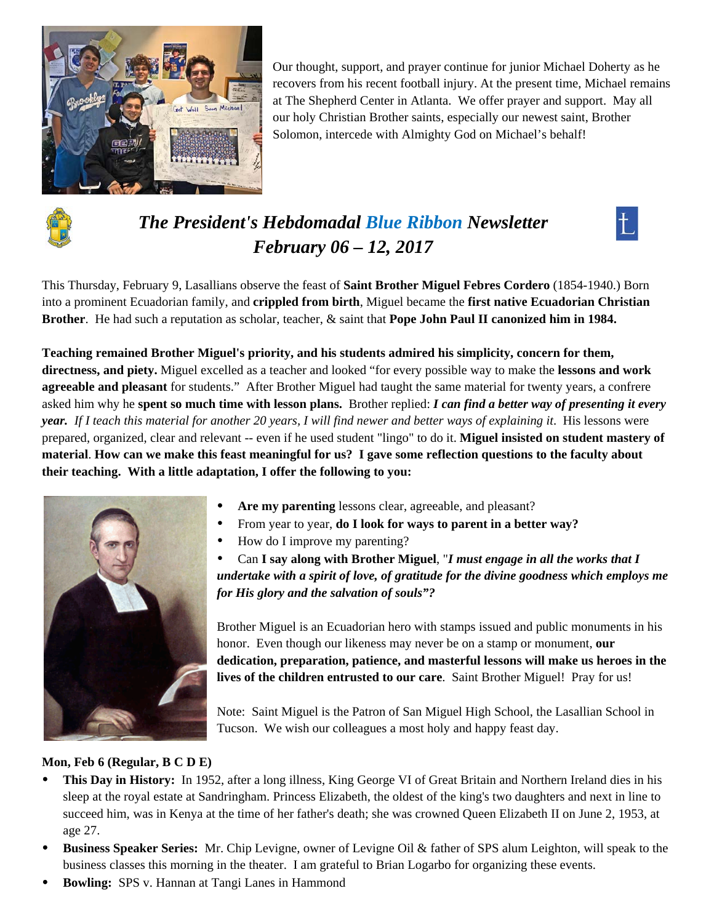

Our thought, support, and prayer continue for junior Michael Doherty as he recovers from his recent football injury. At the present time, Michael remains at The Shepherd Center in Atlanta. We offer prayer and support. May all our holy Christian Brother saints, especially our newest saint, Brother Solomon, intercede with Almighty God on Michael's behalf!



# *The President's Hebdomadal Blue Ribbon Newsletter February 06 – 12, 2017*



This Thursday, February 9, Lasallians observe the feast of **Saint Brother Miguel Febres Cordero** (1854-1940.) Born into a prominent Ecuadorian family, and **crippled from birth**, Miguel became the **first native Ecuadorian Christian Brother**. He had such a reputation as scholar, teacher, & saint that **Pope John Paul II canonized him in 1984.**

**Teaching remained Brother Miguel's priority, and his students admired his simplicity, concern for them, directness, and piety.** Miguel excelled as a teacher and looked "for every possible way to make the **lessons and work agreeable and pleasant** for students." After Brother Miguel had taught the same material for twenty years, a confrere asked him why he **spent so much time with lesson plans.** Brother replied: *I can find a better way of presenting it every year. If I teach this material for another 20 years, I will find newer and better ways of explaining it*. His lessons were prepared, organized, clear and relevant -- even if he used student "lingo" to do it. **Miguel insisted on student mastery of material**. **How can we make this feast meaningful for us? I gave some reflection questions to the faculty about their teaching. With a little adaptation, I offer the following to you:**



- **Are my parenting** lessons clear, agreeable, and pleasant?
- From year to year, **do I look for ways to parent in a better way?**
- How do I improve my parenting?

 Can **I say along with Brother Miguel**, "*I must engage in all the works that I undertake with a spirit of love, of gratitude for the divine goodness which employs me for His glory and the salvation of souls"?*

Brother Miguel is an Ecuadorian hero with stamps issued and public monuments in his honor. Even though our likeness may never be on a stamp or monument, **our dedication, preparation, patience, and masterful lessons will make us heroes in the lives of the children entrusted to our care**. Saint Brother Miguel! Pray for us!

Note: Saint Miguel is the Patron of San Miguel High School, the Lasallian School in Tucson. We wish our colleagues a most holy and happy feast day.

# **Mon, Feb 6 (Regular, B C D E)**

- **This Day in History:** In 1952, after a long illness, King George VI of Great Britain and Northern Ireland dies in his sleep at the royal estate at Sandringham. Princess Elizabeth, the oldest of the king's two daughters and next in line to succeed him, was in Kenya at the time of her father's death; she was crowned Queen Elizabeth II on June 2, 1953, at age 27.
- **Business Speaker Series:** Mr. Chip Levigne, owner of Levigne Oil & father of SPS alum Leighton, will speak to the business classes this morning in the theater. I am grateful to Brian Logarbo for organizing these events.
- **Bowling:** SPS v. Hannan at Tangi Lanes in Hammond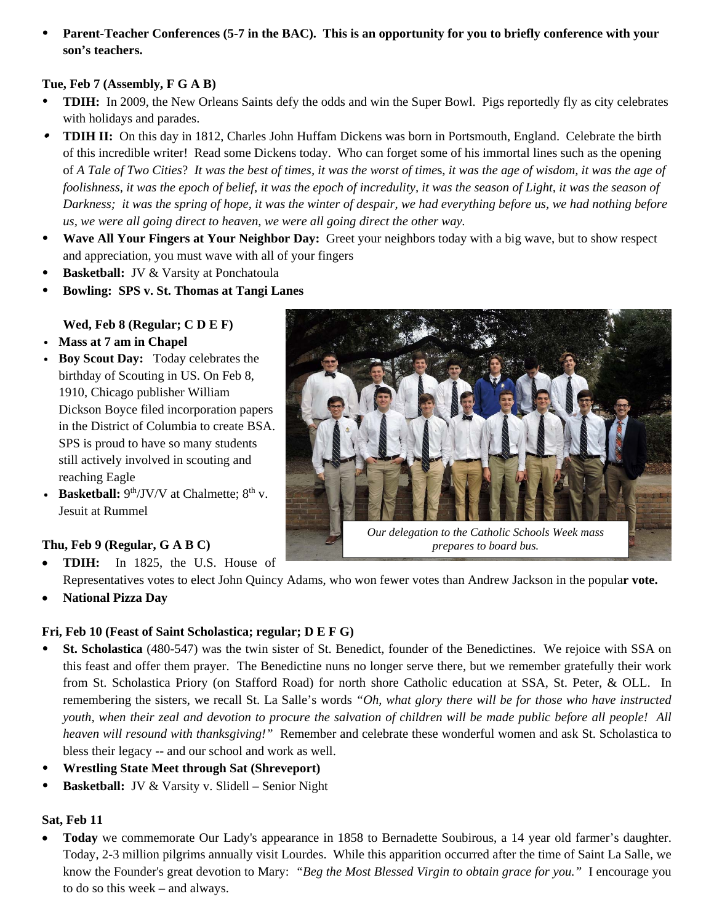**Parent-Teacher Conferences (5-7 in the BAC). This is an opportunity for you to briefly conference with your son's teachers.** 

#### **Tue, Feb 7 (Assembly, F G A B)**

- **TDIH:** In 2009, the New Orleans Saints defy the odds and win the Super Bowl. Pigs reportedly fly as city celebrates with holidays and parades.
- **TDIH II:** On this day in 1812, Charles John Huffam Dickens was born in Portsmouth, England. Celebrate the birth of this incredible writer! Read some Dickens today. Who can forget some of his immortal lines such as the opening of *A Tale of Two Cities*? *It was the best of times, it was the worst of time*s, *it was the age of wisdom, it was the age of foolishness, it was the epoch of belief, it was the epoch of incredulity, it was the season of Light, it was the season of Darkness; it was the spring of hope, it was the winter of despair, we had everything before us, we had nothing before us, we were all going direct to heaven, we were all going direct the other way.*
- **Wave All Your Fingers at Your Neighbor Day:** Greet your neighbors today with a big wave, but to show respect and appreciation, you must wave with all of your fingers
- **Basketball:** JV & Varsity at Ponchatoula
- **Bowling: SPS v. St. Thomas at Tangi Lanes**

#### **Wed, Feb 8 (Regular; C D E F)**

- v **Mass at 7 am in Chapel**
- **Boy Scout Day:** Today celebrates the birthday of Scouting in US. On Feb 8, 1910, Chicago publisher William Dickson Boyce filed incorporation papers in the District of Columbia to create BSA. SPS is proud to have so many students still actively involved in scouting and reaching Eagle
- **Basketball:**  $9<sup>th</sup>/JV/V$  at Chalmette;  $8<sup>th</sup>$  v. Jesuit at Rummel

# **Thu, Feb 9 (Regular, G A B C)**

- **TDIH:** In 1825, the U.S. House of Representatives votes to elect John Quincy Adams, who won fewer votes than Andrew Jackson in the popula**r vote.**
- **National Pizza Day**

# **Fri, Feb 10 (Feast of Saint Scholastica; regular; D E F G)**

- **St. Scholastica** (480-547) was the twin sister of St. Benedict, founder of the Benedictines. We rejoice with SSA on this feast and offer them prayer. The Benedictine nuns no longer serve there, but we remember gratefully their work from St. Scholastica Priory (on Stafford Road) for north shore Catholic education at SSA, St. Peter, & OLL. In remembering the sisters, we recall St. La Salle's words *"Oh, what glory there will be for those who have instructed youth, when their zeal and devotion to procure the salvation of children will be made public before all people! All heaven will resound with thanksgiving!"* Remember and celebrate these wonderful women and ask St. Scholastica to bless their legacy -- and our school and work as well.
- **Wrestling State Meet through Sat (Shreveport)**
- **Basketball:** JV & Varsity v. Slidell Senior Night

#### **Sat, Feb 11**

 **Today** we commemorate Our Lady's appearance in 1858 to Bernadette Soubirous, a 14 year old farmer's daughter. Today, 2-3 million pilgrims annually visit Lourdes. While this apparition occurred after the time of Saint La Salle, we know the Founder's great devotion to Mary: *"Beg the Most Blessed Virgin to obtain grace for you."* I encourage you to do so this week – and always.

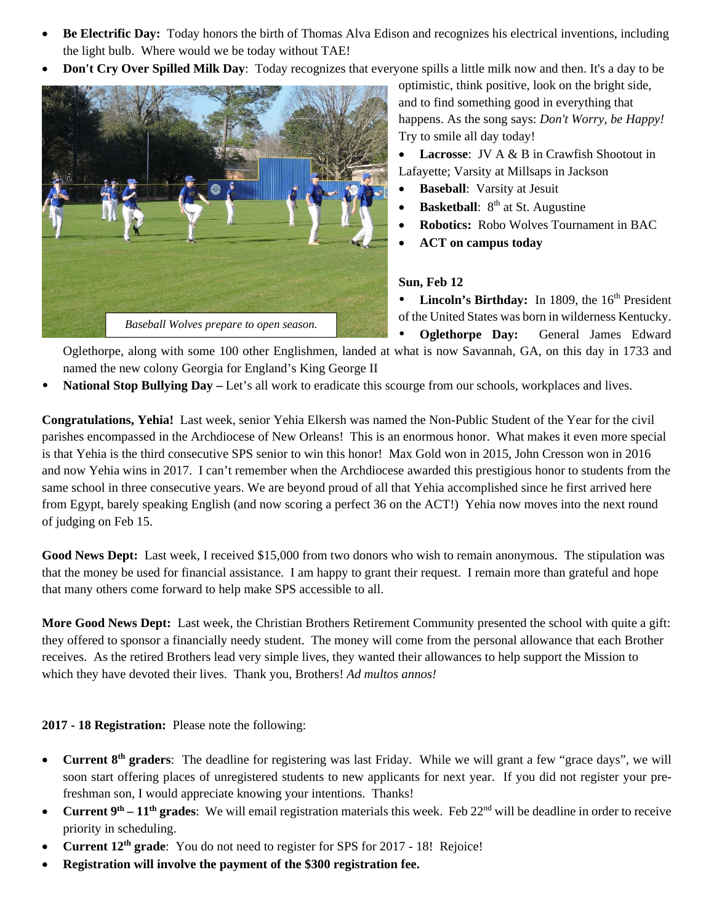- **Be Electrific Day:** Today honors the birth of Thomas Alva Edison and recognizes his electrical inventions, including the light bulb. Where would we be today without TAE!
- **Don't Cry Over Spilled Milk Day**: Today recognizes that everyone spills a little milk now and then. It's a day to be



optimistic, think positive, look on the bright side, and to find something good in everything that happens. As the song says: *Don't Worry, be Happy!* Try to smile all day today!

 **Lacrosse**: JV A & B in Crawfish Shootout in Lafayette; Varsity at Millsaps in Jackson

- **Baseball**: Varsity at Jesuit
- **Basketball**: 8<sup>th</sup> at St. Augustine
- **Robotics:** Robo Wolves Tournament in BAC
- **ACT on campus today**

#### **Sun, Feb 12**

**Lincoln's Birthday:** In 1809, the 16<sup>th</sup> President of the United States was born in wilderness Kentucky.

 **Oglethorpe Day:** General James Edward Oglethorpe, along with some 100 other Englishmen, landed at what is now Savannah, GA, on this day in 1733 and named the new colony Georgia for England's King George II

**National Stop Bullying Day –** Let's all work to eradicate this scourge from our schools, workplaces and lives.

**Congratulations, Yehia!** Last week, senior Yehia Elkersh was named the Non-Public Student of the Year for the civil parishes encompassed in the Archdiocese of New Orleans! This is an enormous honor. What makes it even more special is that Yehia is the third consecutive SPS senior to win this honor! Max Gold won in 2015, John Cresson won in 2016 and now Yehia wins in 2017. I can't remember when the Archdiocese awarded this prestigious honor to students from the same school in three consecutive years. We are beyond proud of all that Yehia accomplished since he first arrived here from Egypt, barely speaking English (and now scoring a perfect 36 on the ACT!) Yehia now moves into the next round of judging on Feb 15.

**Good News Dept:** Last week, I received \$15,000 from two donors who wish to remain anonymous. The stipulation was that the money be used for financial assistance. I am happy to grant their request. I remain more than grateful and hope that many others come forward to help make SPS accessible to all.

**More Good News Dept:** Last week, the Christian Brothers Retirement Community presented the school with quite a gift: they offered to sponsor a financially needy student. The money will come from the personal allowance that each Brother receives. As the retired Brothers lead very simple lives, they wanted their allowances to help support the Mission to which they have devoted their lives. Thank you, Brothers! *Ad multos annos!* 

#### **2017 - 18 Registration:** Please note the following:

- **Current 8th graders**: The deadline for registering was last Friday. While we will grant a few "grace days", we will soon start offering places of unregistered students to new applicants for next year. If you did not register your prefreshman son, I would appreciate knowing your intentions. Thanks!
- **Current 9<sup>th</sup> 11<sup>th</sup> grades**: We will email registration materials this week. Feb  $22^{nd}$  will be deadline in order to receive priority in scheduling.
- **Current 12th grade**: You do not need to register for SPS for 2017 18! Rejoice!
- **Registration will involve the payment of the \$300 registration fee.**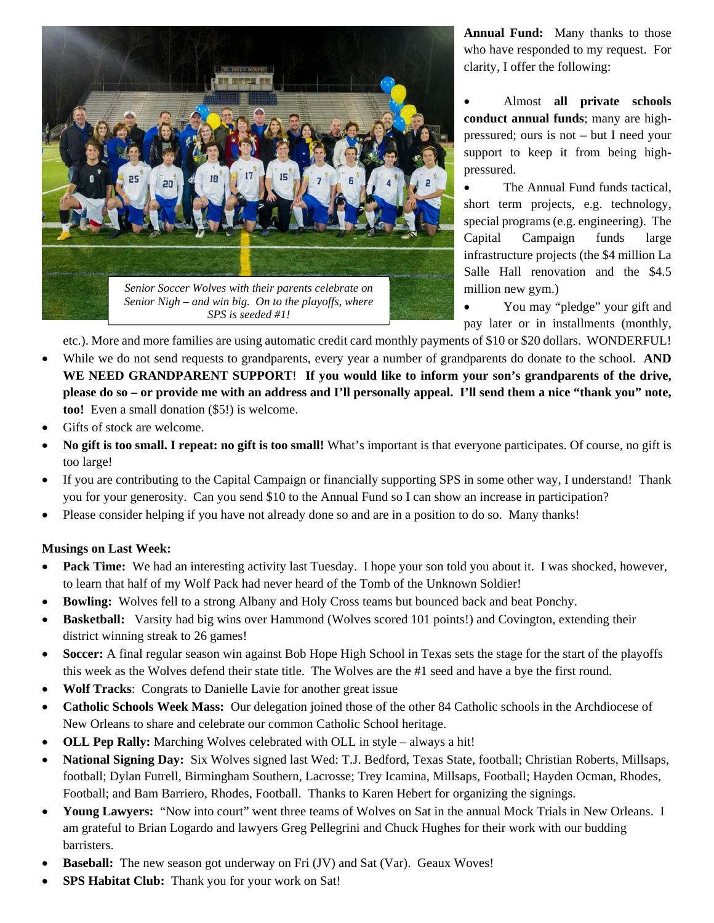

**Annual Fund:** Many thanks to those who have responded to my request. For clarity, I offer the following:

 Almost **all private schools conduct annual funds**; many are highpressured; ours is not – but I need your support to keep it from being highpressured.

 The Annual Fund funds tactical, short term projects, e.g. technology, special programs (e.g. engineering). The Capital Campaign funds large infrastructure projects (the \$4 million La Salle Hall renovation and the \$4.5 million new gym.)

 You may "pledge" your gift and pay later or in installments (monthly,

etc.). More and more families are using automatic credit card monthly payments of \$10 or \$20 dollars. WONDERFUL!

- While we do not send requests to grandparents, every year a number of grandparents do donate to the school. **AND WE NEED GRANDPARENT SUPPORT**! **If you would like to inform your son's grandparents of the drive, please do so – or provide me with an address and I'll personally appeal. I'll send them a nice "thank you" note, too!** Even a small donation (\$5!) is welcome.
- Gifts of stock are welcome.
- **No gift is too small. I repeat: no gift is too small!** What's important is that everyone participates. Of course, no gift is too large!
- If you are contributing to the Capital Campaign or financially supporting SPS in some other way, I understand! Thank you for your generosity. Can you send \$10 to the Annual Fund so I can show an increase in participation?
- Please consider helping if you have not already done so and are in a position to do so. Many thanks!

#### **Musings on Last Week:**

- **Pack Time:** We had an interesting activity last Tuesday. I hope your son told you about it. I was shocked, however, to learn that half of my Wolf Pack had never heard of the Tomb of the Unknown Soldier!
- **Bowling:** Wolves fell to a strong Albany and Holy Cross teams but bounced back and beat Ponchy.
- **Basketball:** Varsity had big wins over Hammond (Wolves scored 101 points!) and Covington, extending their district winning streak to 26 games!
- **Soccer:** A final regular season win against Bob Hope High School in Texas sets the stage for the start of the playoffs this week as the Wolves defend their state title. The Wolves are the #1 seed and have a bye the first round.
- **Wolf Tracks**: Congrats to Danielle Lavie for another great issue
- **Catholic Schools Week Mass:** Our delegation joined those of the other 84 Catholic schools in the Archdiocese of New Orleans to share and celebrate our common Catholic School heritage.
- **OLL Pep Rally:** Marching Wolves celebrated with OLL in style always a hit!
- **National Signing Day:** Six Wolves signed last Wed: T.J. Bedford, Texas State, football; Christian Roberts, Millsaps, football; Dylan Futrell, Birmingham Southern, Lacrosse; Trey Icamina, Millsaps, Football; Hayden Ocman, Rhodes, Football; and Bam Barriero, Rhodes, Football. Thanks to Karen Hebert for organizing the signings.
- **Young Lawyers:**"Now into court" went three teams of Wolves on Sat in the annual Mock Trials in New Orleans. I am grateful to Brian Logardo and lawyers Greg Pellegrini and Chuck Hughes for their work with our budding barristers.
- **Baseball:** The new season got underway on Fri (JV) and Sat (Var). Geaux Woves!
- **SPS Habitat Club:**Thank you for your work on Sat!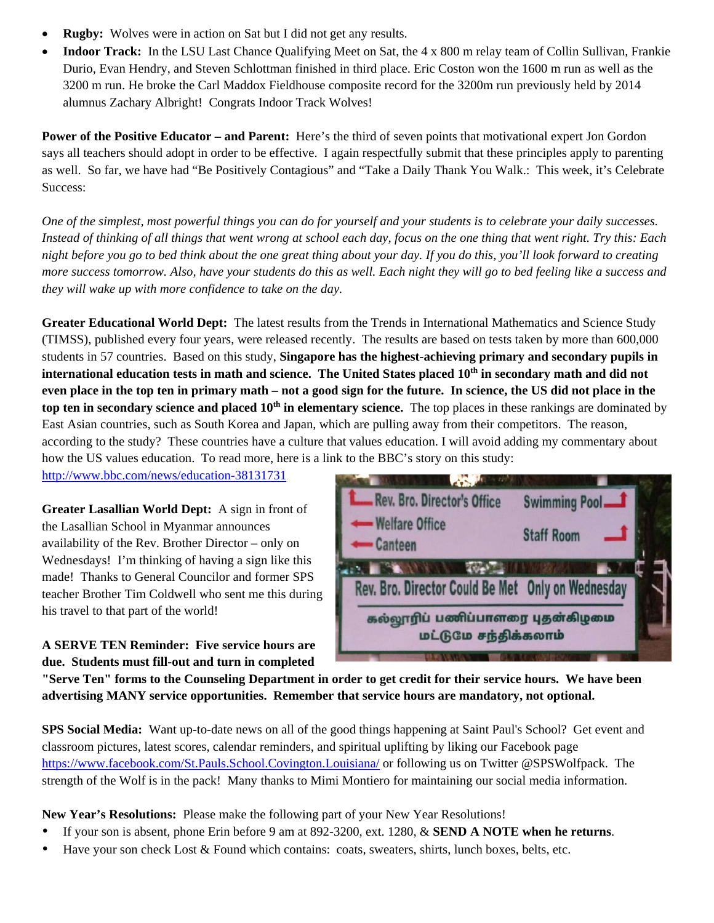- **Rugby:**Wolves were in action on Sat but I did not get any results.
- **Indoor Track:**In the LSU Last Chance Qualifying Meet on Sat, the 4 x 800 m relay team of Collin Sullivan, Frankie Durio, Evan Hendry, and Steven Schlottman finished in third place. Eric Coston won the 1600 m run as well as the 3200 m run. He broke the Carl Maddox Fieldhouse composite record for the 3200m run previously held by 2014 alumnus Zachary Albright! Congrats Indoor Track Wolves!

**Power of the Positive Educator – and Parent:** Here's the third of seven points that motivational expert Jon Gordon says all teachers should adopt in order to be effective. I again respectfully submit that these principles apply to parenting as well. So far, we have had "Be Positively Contagious" and "Take a Daily Thank You Walk.: This week, it's Celebrate Success:

*One of the simplest, most powerful things you can do for yourself and your students is to celebrate your daily successes. Instead of thinking of all things that went wrong at school each day, focus on the one thing that went right. Try this: Each night before you go to bed think about the one great thing about your day. If you do this, you'll look forward to creating more success tomorrow. Also, have your students do this as well. Each night they will go to bed feeling like a success and they will wake up with more confidence to take on the day.* 

**Greater Educational World Dept:** The latest results from the Trends in International Mathematics and Science Study (TIMSS), published every four years, were released recently. The results are based on tests taken by more than 600,000 students in 57 countries. Based on this study, **Singapore has the highest-achieving primary and secondary pupils in**  international education tests in math and science. The United States placed 10<sup>th</sup> in secondary math and did not **even place in the top ten in primary math – not a good sign for the future. In science, the US did not place in the top ten in secondary science and placed 10<sup>th</sup> in elementary science.** The top places in these rankings are dominated by East Asian countries, such as South Korea and Japan, which are pulling away from their competitors. The reason, according to the study? These countries have a culture that values education. I will avoid adding my commentary about how the US values education. To read more, here is a link to the BBC's story on this study:

http://www.bbc.com/news/education-38131731

**Greater Lasallian World Dept:** A sign in front of the Lasallian School in Myanmar announces availability of the Rev. Brother Director – only on Wednesdays! I'm thinking of having a sign like this made! Thanks to General Councilor and former SPS teacher Brother Tim Coldwell who sent me this during his travel to that part of the world!

**A SERVE TEN Reminder: Five service hours are due. Students must fill-out and turn in completed** 



**"Serve Ten" forms to the Counseling Department in order to get credit for their service hours. We have been advertising MANY service opportunities. Remember that service hours are mandatory, not optional.** 

**SPS Social Media:** Want up-to-date news on all of the good things happening at Saint Paul's School? Get event and classroom pictures, latest scores, calendar reminders, and spiritual uplifting by liking our Facebook page https://www.facebook.com/St.Pauls.School.Covington.Louisiana/ or following us on Twitter @SPSWolfpack. The strength of the Wolf is in the pack! Many thanks to Mimi Montiero for maintaining our social media information.

**New Year's Resolutions:** Please make the following part of your New Year Resolutions!

- If your son is absent, phone Erin before 9 am at 892-3200, ext. 1280, & **SEND A NOTE when he returns**.
- Have your son check Lost & Found which contains: coats, sweaters, shirts, lunch boxes, belts, etc.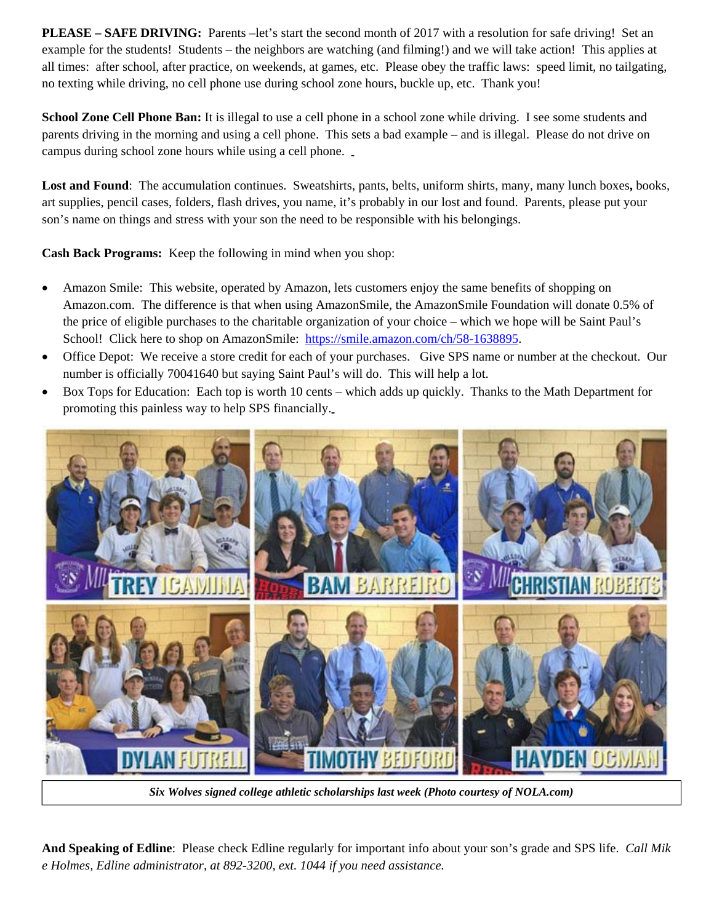**PLEASE – SAFE DRIVING:** Parents –let's start the second month of 2017 with a resolution for safe driving! Set an example for the students! Students – the neighbors are watching (and filming!) and we will take action! This applies at all times: after school, after practice, on weekends, at games, etc. Please obey the traffic laws: speed limit, no tailgating, no texting while driving, no cell phone use during school zone hours, buckle up, etc. Thank you!

**School Zone Cell Phone Ban:** It is illegal to use a cell phone in a school zone while driving. I see some students and parents driving in the morning and using a cell phone. This sets a bad example – and is illegal. Please do not drive on campus during school zone hours while using a cell phone.

**Lost and Found**: The accumulation continues. Sweatshirts, pants, belts, uniform shirts, many, many lunch boxes**,** books, art supplies, pencil cases, folders, flash drives, you name, it's probably in our lost and found. Parents, please put your son's name on things and stress with your son the need to be responsible with his belongings.

**Cash Back Programs:** Keep the following in mind when you shop:

- Amazon Smile: This website, operated by Amazon, lets customers enjoy the same benefits of shopping on Amazon.com. The difference is that when using AmazonSmile, the AmazonSmile Foundation will donate 0.5% of the price of eligible purchases to the charitable organization of your choice – which we hope will be Saint Paul's School! Click here to shop on AmazonSmile: https://smile.amazon.com/ch/58-1638895.
- Office Depot: We receive a store credit for each of your purchases. Give SPS name or number at the checkout. Our number is officially 70041640 but saying Saint Paul's will do. This will help a lot.
- Box Tops for Education: Each top is worth 10 cents which adds up quickly. Thanks to the Math Department for promoting this painless way to help SPS financially.



*Six Wolves signed college athletic scholarships last week (Photo courtesy of NOLA.com)* 

**And Speaking of Edline**: Please check Edline regularly for important info about your son's grade and SPS life. *Call Mik e Holmes, Edline administrator, at 892-3200, ext. 1044 if you need assistance.*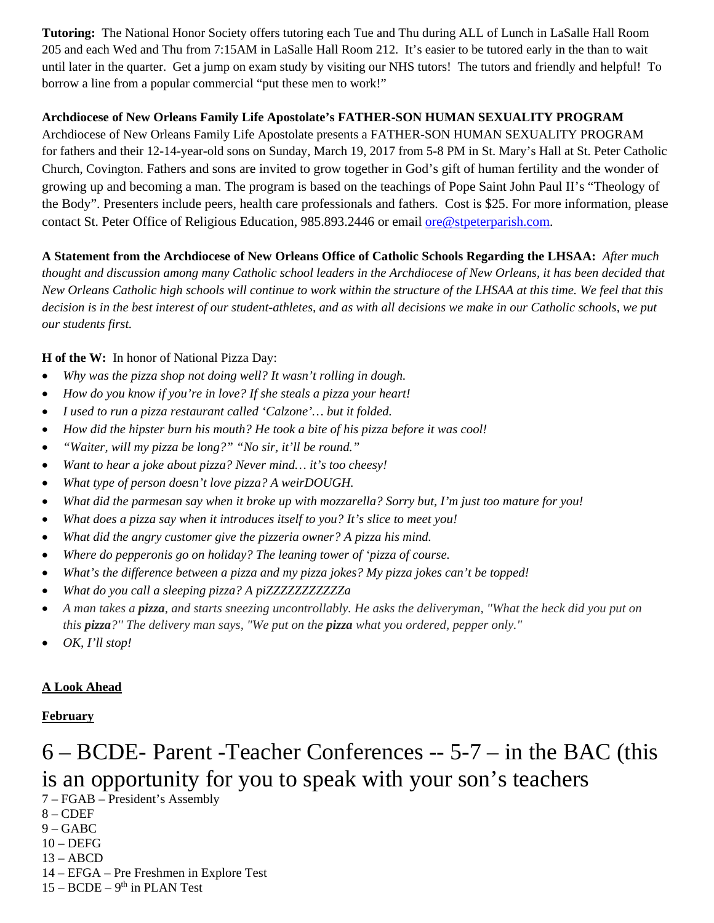**Tutoring:** The National Honor Society offers tutoring each Tue and Thu during ALL of Lunch in LaSalle Hall Room 205 and each Wed and Thu from 7:15AM in LaSalle Hall Room 212. It's easier to be tutored early in the than to wait until later in the quarter. Get a jump on exam study by visiting our NHS tutors! The tutors and friendly and helpful! To borrow a line from a popular commercial "put these men to work!"

#### **Archdiocese of New Orleans Family Life Apostolate's FATHER-SON HUMAN SEXUALITY PROGRAM**

Archdiocese of New Orleans Family Life Apostolate presents a FATHER-SON HUMAN SEXUALITY PROGRAM for fathers and their 12-14-year-old sons on Sunday, March 19, 2017 from 5-8 PM in St. Mary's Hall at St. Peter Catholic Church, Covington. Fathers and sons are invited to grow together in God's gift of human fertility and the wonder of growing up and becoming a man. The program is based on the teachings of Pope Saint John Paul II's "Theology of the Body". Presenters include peers, health care professionals and fathers. Cost is \$25. For more information, please contact St. Peter Office of Religious Education, 985.893.2446 or email ore@stpeterparish.com.

**A Statement from the Archdiocese of New Orleans Office of Catholic Schools Regarding the LHSAA:** *After much thought and discussion among many Catholic school leaders in the Archdiocese of New Orleans, it has been decided that New Orleans Catholic high schools will continue to work within the structure of the LHSAA at this time. We feel that this decision is in the best interest of our student-athletes, and as with all decisions we make in our Catholic schools, we put our students first.* 

**H of the W:** In honor of National Pizza Day:

- *Why was the pizza shop not doing well? It wasn't rolling in dough.*
- *How do you know if you're in love? If she steals a pizza your heart!*
- *I used to run a pizza restaurant called 'Calzone'… but it folded.*
- *How did the hipster burn his mouth? He took a bite of his pizza before it was cool!*
- *"Waiter, will my pizza be long?" "No sir, it'll be round."*
- *Want to hear a joke about pizza? Never mind… it's too cheesy!*
- *What type of person doesn't love pizza? A weirDOUGH.*
- *What did the parmesan say when it broke up with mozzarella? Sorry but, I'm just too mature for you!*
- *What does a pizza say when it introduces itself to you? It's slice to meet you!*
- *What did the angry customer give the pizzeria owner? A pizza his mind.*
- *Where do pepperonis go on holiday? The leaning tower of 'pizza of course.*
- *What's the difference between a pizza and my pizza jokes? My pizza jokes can't be topped!*
- *What do you call a sleeping pizza? A piZZZZZZZZZZZa*
- *A man takes a pizza, and starts sneezing uncontrollably. He asks the deliveryman, ''What the heck did you put on this pizza?'' The delivery man says, "We put on the pizza what you ordered, pepper only."*
- *OK, I'll stop!*

#### **A Look Ahead**

#### **February**

# 6 – BCDE- Parent -Teacher Conferences -- 5-7 – in the BAC (this is an opportunity for you to speak with your son's teachers

- 7 FGAB President's Assembly
- $8 CDEF$
- 9 GABC
- 10 DEFG
- 13 ABCD
- 14 EFGA Pre Freshmen in Explore Test
- $15 BCDE 9<sup>th</sup>$  in PLAN Test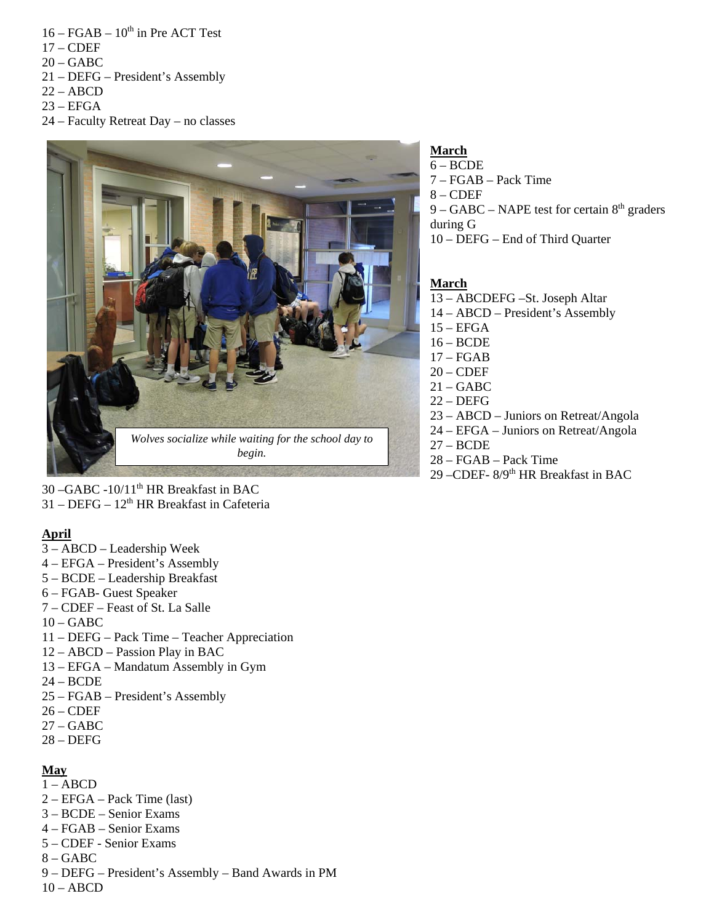- $16 FGAB 10^{th}$  in Pre ACT Test
- $17 CDEF$
- $20 GABC$
- 21 DEFG President's Assembly
- $22 ABCD$
- $23 EFGA$
- 24 Faculty Retreat Day no classes



**March** 

6 – BCDE 7 – FGAB – Pack Time  $8 - CDEF$  $9 - GABC - NAPE$  test for certain  $8<sup>th</sup>$  graders during G 10 – DEFG – End of Third Quarter

# **March**

- 13 ABCDEFG –St. Joseph Altar
- 14 ABCD President's Assembly
- 15 EFGA
- 16 BCDE
- $17 FGAB$  $20 - CDEF$
- $21 GABC$
- 22 DEFG
- 23 ABCD Juniors on Retreat/Angola
- 24 EFGA Juniors on Retreat/Angola
- 27 BCDE
- 28 FGAB Pack Time
- 29 –CDEF- 8/9th HR Breakfast in BAC

 $30 - \text{GABC} -10/11^{\text{th}}$  HR Breakfast in BAC  $31 - DEFG - 12<sup>th</sup> HR Breakfast in Cafeteria$ 

# **April**

- 3 ABCD Leadership Week
- 4 EFGA President's Assembly
- 5 BCDE Leadership Breakfast
- 6 FGAB- Guest Speaker
- 7 CDEF Feast of St. La Salle
- $10 GABC$
- 11 DEFG Pack Time Teacher Appreciation
- 12 ABCD Passion Play in BAC
- 13 EFGA Mandatum Assembly in Gym
- 24 BCDE
- 25 FGAB President's Assembly
- 26 CDEF
- 27 GABC
- 28 DEFG

# **May**

- $1 ABCD$
- 2 EFGA Pack Time (last)
- 3 BCDE Senior Exams
- 4 FGAB Senior Exams
- 5 CDEF Senior Exams
- 8 GABC
- 9 DEFG President's Assembly Band Awards in PM
- $10 ABCD$